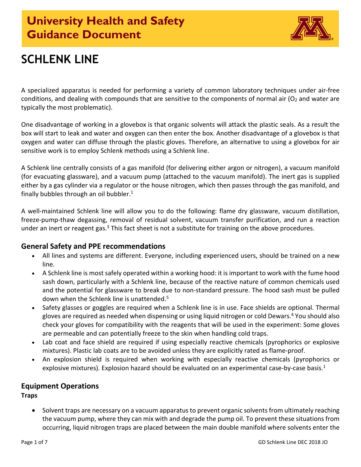

# **SCHLENK LINE**

A specialized apparatus is needed for performing a variety of common laboratory techniques under air‐free conditions, and dealing with compounds that are sensitive to the components of normal air ( $O<sub>2</sub>$  and water are typically the most problematic).

One disadvantage of working in a glovebox is that organic solvents will attack the plastic seals. As a result the box will start to leak and water and oxygen can then enter the box. Another disadvantage of a glovebox is that oxygen and water can diffuse through the plastic gloves. Therefore, an alternative to using a glovebox for air sensitive work is to employ Schlenk methods using [a Schlenk line.](http://en.wikipedia.org/wiki/Schlenk_line)

A Schlenk line centrally consists of a gas manifold (for delivering either argon or nitrogen), a vacuum manifold (for evacuating glassware), and a vacuum pump (attached to the vacuum manifold). The inert gas is supplied either by a gas cylinder via a regulator or the house nitrogen, which then passes through the gas manifold, and finally bubbles through an oil bubbler. $<sup>1</sup>$ </sup>

A well-maintained Schlenk line will allow you to do the following: flame dry glassware, vacuum distillation, freeze-pump-thaw degassing, removal of residual solvent, vacuum transfer purification, and run a reaction under an inert or reagent gas.<sup>3</sup> This fact sheet is not a substitute for training on the above procedures.

## **General Safety and PPE recommendations**

- All lines and systems are different. Everyone, including experienced users, should be trained on a new line.
- A Schlenk line is most safely operated within a working hood: it is important to work with the fume hood sash down, particularly with a Schlenk line, because of the reactive nature of common chemicals used and the potential for glassware to break due to non-standard pressure. The hood sash must be pulled down when the Schlenk line is unattended.<sup>5</sup>
- Safety glasses or goggles are required when a Schlenk line is in use. Face shields are optional. Thermal gloves are required as needed when dispensing or using liquid nitrogen or cold Dewars.<sup>4</sup> You should also check your gloves for compatibility with the reagents that will be used in the experiment: Some gloves are permeable and can potentially freeze to the skin when handling cold traps.
- Lab coat and face shield are required if using especially reactive chemicals (pyrophorics or explosive mixtures). Plastic lab coats are to be avoided unless they are explicitly rated as flame-proof.
- An explosion shield is required when working with especially reactive chemicals (pyrophorics or explosive mixtures). Explosion hazard should be evaluated on an experimental case-by-case basis.<sup>1</sup>

# **Equipment Operations**

**Traps**

• Solvent traps are necessary on a vacuum apparatus to prevent organic solvents from ultimately reaching the vacuum pump, where they can mix with and degrade the pump oil. To prevent these situations from occurring, liquid nitrogen traps are placed between the main double manifold where solvents enter the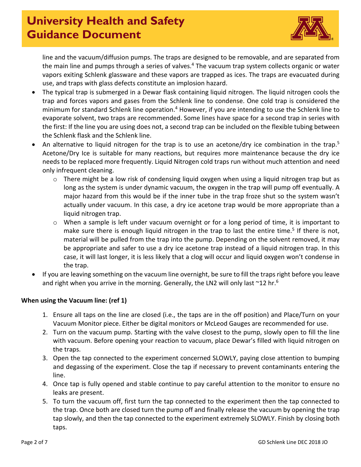

line and the vacuum/diffusion pumps. The traps are designed to be removable, and are separated from the main line and pumps through a series of valves.<sup>4</sup> The vacuum trap system collects organic or water vapors exiting Schlenk glassware and these vapors are trapped as ices. The traps are evacuated during use, and traps with glass defects constitute an implosion hazard.

- The typical trap is submerged in a Dewar flask containing liquid nitrogen. The liquid nitrogen cools the trap and forces vapors and gases from the Schlenk line to condense. One cold trap is considered the minimum for standard Schlenk line operation.<sup>4</sup> However, if you are intending to use the Schlenk line to evaporate solvent, two traps are recommended. Some lines have space for a second trap in series with the first: If the line you are using does not, a second trap can be included on the flexible tubing between the Schlenk flask and the Schlenk line.
- An alternative to liquid nitrogen for the trap is to use an acetone/dry ice combination in the trap.<sup>5</sup> Acetone/Dry Ice is suitable for many reactions, but requires more maintenance because the dry ice needs to be replaced more frequently. Liquid Nitrogen cold traps run without much attention and need only infrequent cleaning.
	- o There might be a low risk of condensing liquid oxygen when using a liquid nitrogen trap but as long as the system is under dynamic vacuum, the oxygen in the trap will pump off eventually. A major hazard from this would be if the inner tube in the trap froze shut so the system wasn't actually under vacuum. In this case, a dry ice acetone trap would be more appropriate than a liquid nitrogen trap.
	- $\circ$  When a sample is left under vacuum overnight or for a long period of time, it is important to make sure there is enough liquid nitrogen in the trap to last the entire time.<sup>5</sup> If there is not, material will be pulled from the trap into the pump. Depending on the solvent removed, it may be appropriate and safer to use a dry ice acetone trap instead of a liquid nitrogen trap. In this case, it will last longer, it is less likely that a clog will occur and liquid oxygen won't condense in the trap.
- If you are leaving something on the vacuum line overnight, be sure to fill the traps right before you leave and right when you arrive in the morning. Generally, the LN2 will only last  $\sim$ 12 hr.<sup>6</sup>

## **When using the Vacuum line: (ref 1)**

- 1. Ensure all taps on the line are closed (i.e., the taps are in the off position) and Place/Turn on your Vacuum Monitor piece. Either be digital monitors or McLeod Gauges are recommended for use.
- 2. Turn on the vacuum pump. Starting with the valve closest to the pump, slowly open to fill the line with vacuum. Before opening your reaction to vacuum, place Dewar's filled with liquid nitrogen on the traps.
- 3. Open the tap connected to the experiment concerned SLOWLY, paying close attention to bumping and degassing of the experiment. Close the tap if necessary to prevent contaminants entering the line.
- 4. Once tap is fully opened and stable continue to pay careful attention to the monitor to ensure no leaks are present.
- 5. To turn the vacuum off, first turn the tap connected to the experiment then the tap connected to the trap. Once both are closed turn the pump off and finally release the vacuum by opening the trap tap slowly, and then the tap connected to the experiment extremely SLOWLY. Finish by closing both taps.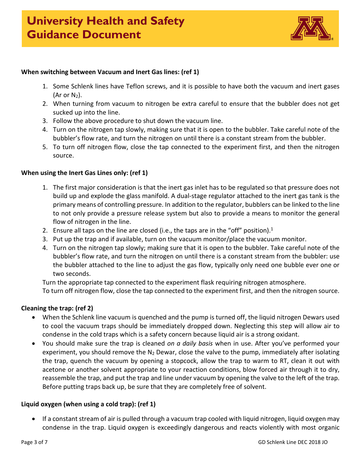

#### **When switching between Vacuum and Inert Gas lines: (ref 1)**

- 1. Some Schlenk lines have Teflon screws, and it is possible to have both the vacuum and inert gases (Ar or  $N_2$ ).
- 2. When turning from vacuum to nitrogen be extra careful to ensure that the bubbler does not get sucked up into the line.
- 3. Follow the above procedure to shut down the vacuum line.
- 4. Turn on the nitrogen tap slowly, making sure that it is open to the bubbler. Take careful note of the bubbler's flow rate, and turn the nitrogen on until there is a constant stream from the bubbler.
- 5. To turn off nitrogen flow, close the tap connected to the experiment first, and then the nitrogen source.

#### **When using the Inert Gas Lines only: (ref 1)**

- 1. The first major consideration is that the inert gas inlet has to be regulated so that pressure does not build up and explode the glass manifold. A dual-stage regulator attached to the inert gas tank is the primary means of controlling pressure. In addition to the regulator, bubblers can be linked to the line to not only provide a pressure release system but also to provide a means to monitor the general flow of nitrogen in the line.
- 2. Ensure all taps on the line are closed (i.e., the taps are in the "off" position). $1$
- 3. Put up the trap and if available, turn on the vacuum monitor/place the vacuum monitor.
- 4. Turn on the nitrogen tap slowly; making sure that it is open to the bubbler. Take careful note of the bubbler's flow rate, and turn the nitrogen on until there is a constant stream from the bubbler: use the bubbler attached to the line to adjust the gas flow, typically only need one bubble ever one or two seconds.

Turn the appropriate tap connected to the experiment flask requiring nitrogen atmosphere.

To turn off nitrogen flow, close the tap connected to the experiment first, and then the nitrogen source.

#### **Cleaning the trap: (ref 2)**

- When the Schlenk line vacuum is quenched and the pump is turned off, the liquid nitrogen Dewars used to cool the vacuum traps should be immediately dropped down. Neglecting this step will allow air to condense in the cold traps which is a safety concern because liquid air is a strong oxidant.
- You should make sure the trap is cleaned *on a daily basis* when in use. After you've performed your experiment, you should remove the  $N_2$  Dewar, close the valve to the pump, immediately after isolating the trap, quench the vacuum by opening a stopcock, allow the trap to warm to RT, clean it out with acetone or another solvent appropriate to your reaction conditions, blow forced air through it to dry, reassemble the trap, and put the trap and line under vacuum by opening the valve to the left of the trap. Before putting traps back up, be sure that they are completely free of solvent.

#### **Liquid oxygen (when using a cold trap): (ref 1)**

• If a constant stream of air is pulled through a vacuum trap cooled with liquid nitrogen, liquid oxygen may condense in the trap. Liquid oxygen is exceedingly dangerous and reacts violently with most organic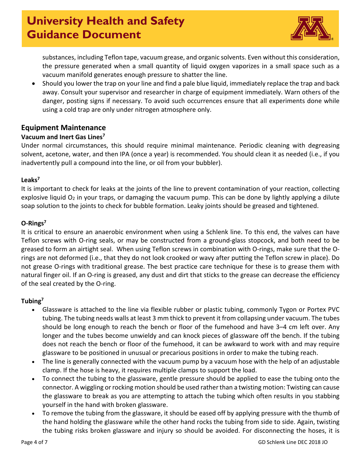

substances, including Teflon tape, vacuum grease, and organic solvents. Even without this consideration, the pressure generated when a small quantity of liquid oxygen vaporizes in a small space such as a vacuum manifold generates enough pressure to shatter the line.

• Should you lower the trap on your line and find a pale blue liquid, immediately replace the trap and back away. Consult your supervisor and researcher in charge of equipment immediately. Warn others of the danger, posting signs if necessary. To avoid such occurrences ensure that all experiments done while using a cold trap are only under nitrogen atmosphere only.

## **Equipment Maintenance**

### **Vacuum and Inert Gas Lines7**

Under normal circumstances, this should require minimal maintenance. Periodic cleaning with degreasing solvent, acetone, water, and then IPA (once a year) is recommended. You should clean it as needed (i.e., if you inadvertently pull a compound into the line, or oil from your bubbler).

#### **Leaks7**

It is important to check for leaks at the joints of the line to prevent contamination of your reaction, collecting explosive liquid  $O_2$  in your traps, or damaging the vacuum pump. This can be done by lightly applying a dilute soap solution to the joints to check for bubble formation. Leaky joints should be greased and tightened.

#### **O-Rings7**

It is critical to ensure an anaerobic environment when using a Schlenk line. To this end, the valves can have Teflon screws with O-ring seals, or may be constructed from a ground-glass stopcock, and both need to be greased to form an airtight seal. When using Teflon screws in combination with O-rings, make sure that the Orings are not deformed (i.e., that they do not look crooked or wavy after putting the Teflon screw in place). Do not grease O-rings with traditional grease. The best practice care technique for these is to grease them with natural finger oil. If an O-ring is greased, any dust and dirt that sticks to the grease can decrease the efficiency of the seal created by the O-ring.

## **Tubing7**

- Glassware is attached to the line via flexible rubber or plastic tubing, commonly Tygon or Portex PVC tubing. The tubing needs walls at least 3 mm thick to prevent it from collapsing under vacuum. The tubes should be long enough to reach the bench or floor of the fumehood and have 3–4 cm left over. Any longer and the tubes become unwieldy and can knock pieces of glassware off the bench. If the tubing does not reach the bench or floor of the fumehood, it can be awkward to work with and may require glassware to be positioned in unusual or precarious positions in order to make the tubing reach.
- The line is generally connected with the vacuum pump by a vacuum hose with the help of an adjustable clamp. If the hose is heavy, it requires multiple clamps to support the load.
- To connect the tubing to the glassware, gentle pressure should be applied to ease the tubing onto the connector. A wiggling or rocking motion should be used rather than a twisting motion: Twisting can cause the glassware to break as you are attempting to attach the tubing which often results in you stabbing yourself in the hand with broken glassware.
- To remove the tubing from the glassware, it should be eased off by applying pressure with the thumb of the hand holding the glassware while the other hand rocks the tubing from side to side. Again, twisting the tubing risks broken glassware and injury so should be avoided. For disconnecting the hoses, it is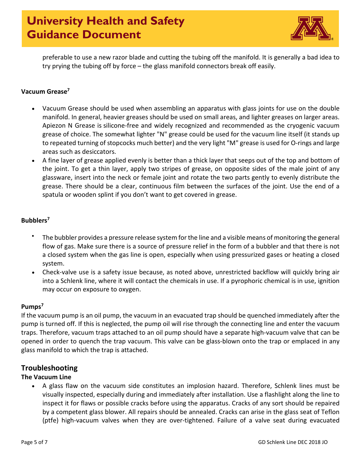

preferable to use a new razor blade and cutting the tubing off the manifold. It is generally a bad idea to try prying the tubing off by force – the glass manifold connectors break off easily.

#### **Vacuum Grease7**

- Vacuum Grease should be used when assembling an apparatus with glass joints for use on the double manifold. In general, heavier greases should be used on small areas, and lighter greases on larger areas. Apiezon N Grease is silicone-free and widely recognized and recommended as the cryogenic vacuum grease of choice. The somewhat lighter "N" grease could be used for the vacuum line itself (it stands up to repeated turning of stopcocks much better) and the very light "M" grease is used for O-rings and large areas such as desiccators.
- A fine layer of grease applied evenly is better than a thick layer that seeps out of the top and bottom of the joint. To get a thin layer, apply two stripes of grease, on opposite sides of the male joint of any glassware, insert into the neck or female joint and rotate the two parts gently to evenly distribute the grease. There should be a clear, continuous film between the surfaces of the joint. Use the end of a spatula or wooden splint if you don't want to get covered in grease.

## **Bubblers7**

- The bubbler provides a pressure release system for the line and a visible means of monitoring the general flow of gas. Make sure there is a source of pressure relief in the form of a bubbler and that there is not a closed system when the gas line is open, especially when using pressurized gases or heating a closed system.
- Check-valve use is a safety issue because, as noted above, unrestricted backflow will quickly bring air into a Schlenk line, where it will contact the chemicals in use. If a pyrophoric chemical is in use, ignition may occur on exposure to oxygen.

## **Pumps7**

If the vacuum pump is an oil pump, the vacuum in an evacuated trap should be quenched immediately after the pump is turned off. If this is neglected, the pump oil will rise through the connecting line and enter the vacuum traps. Therefore, vacuum traps attached to an oil pump should have a separate high-vacuum valve that can be opened in order to quench the trap vacuum. This valve can be glass-blown onto the trap or emplaced in any glass manifold to which the trap is attached.

## **Troubleshooting**

## **The Vacuum Line**

• A glass flaw on the vacuum side constitutes an implosion hazard. Therefore, Schlenk lines must be visually inspected, especially during and immediately after installation. Use a flashlight along the line to inspect it for flaws or possible cracks before using the apparatus. Cracks of any sort should be repaired by a competent glass blower. All repairs should be annealed. Cracks can arise in the glass seat of Teflon (ptfe) high-vacuum valves when they are over-tightened. Failure of a valve seat during evacuated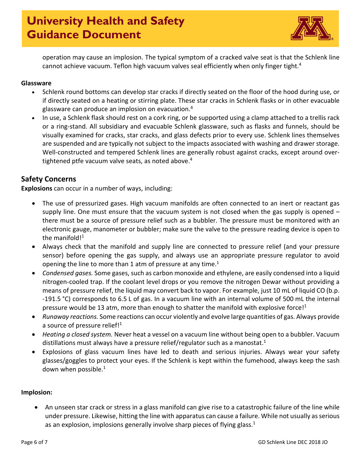

operation may cause an implosion. The typical symptom of a cracked valve seat is that the Schlenk line cannot achieve vacuum. Teflon high vacuum valves seal efficiently when only finger tight.<sup>4</sup>

### **Glassware**

- Schlenk round bottoms can develop star cracks if directly seated on the floor of the hood during use, or if directly seated on a heating or stirring plate. These star cracks in Schlenk flasks or in other evacuable glassware can produce an implosion on evacuation.4
- In use, a Schlenk flask should rest on a cork ring, or be supported using a clamp attached to a trellis rack or a ring-stand. All subsidiary and evacuable Schlenk glassware, such as flasks and funnels, should be visually examined for cracks, star cracks, and glass defects prior to every use. Schlenk lines themselves are suspended and are typically not subject to the impacts associated with washing and drawer storage. Well-constructed and tempered Schlenk lines are generally robust against cracks, except around overtightened ptfe vacuum valve seats, as noted above. 4

## **Safety Concerns**

**Explosions** can occur in a number of ways, including:

- The use of pressurized gases. High vacuum manifolds are often connected to an inert or reactant gas supply line. One must ensure that the vacuum system is not closed when the gas supply is opened  $$ there must be a source of pressure relief such as a bubbler. The pressure must be monitored with an electronic gauge, manometer or bubbler; make sure the valve to the pressure reading device is open to the manifold! $1$
- Always check that the manifold and supply line are connected to pressure relief (and your pressure sensor) before opening the gas supply, and always use an appropriate pressure regulator to avoid opening the line to more than 1 atm of pressure at any time.<sup>1</sup>
- *Condensed gases.* Some gases, such as carbon monoxide and ethylene, are easily condensed into a liquid nitrogen-cooled trap. If the coolant level drops or you remove the nitrogen Dewar without providing a means of pressure relief, the liquid may convert back to vapor. For example, just 10 mL of liquid CO (b.p. -191.5 °C) corresponds to 6.5 L of gas. In a vacuum line with an internal volume of 500 mL the internal pressure would be 13 atm, more than enough to shatter the manifold with explosive force!<sup>1</sup>
- *Runaway reactions.* Some reactions can occur violently and evolve large quantities of gas. Always provide a source of pressure relief! $1$
- *Heating a closed system.* Never heat a vessel on a vacuum line without being open to a bubbler. Vacuum distillations must always have a pressure relief/regulator such as a manostat.<sup>1</sup>
- Explosions of glass vacuum lines have led to death and serious injuries. Always wear your safety glasses/goggles to protect your eyes. If the Schlenk is kept within the fumehood, always keep the sash down when possible.1

#### **Implosion:**

• An unseen star crack or stress in a glass manifold can give rise to a catastrophic failure of the line while under pressure. Likewise, hitting the line with apparatus can cause a failure. While not usually as serious as an explosion, implosions generally involve sharp pieces of flying glass. $1$